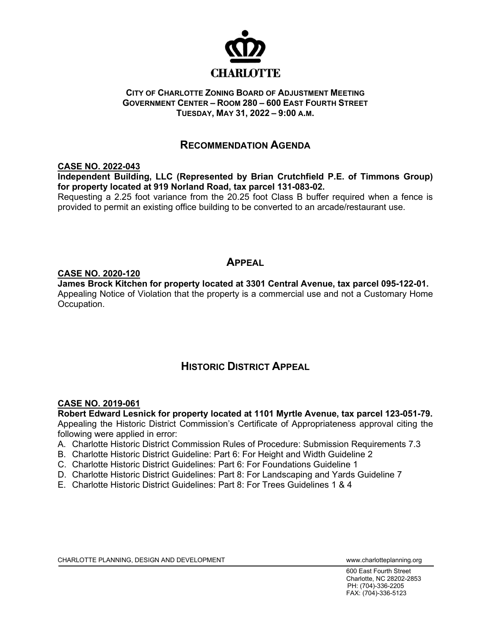

### **CITY OF CHARLOTTE ZONING BOARD OF ADJUSTMENT MEETING GOVERNMENT CENTER – ROOM 280 – 600 EAST FOURTH STREET TUESDAY, MAY 31, 2022 – 9:00 A.M.**

# **RECOMMENDATION AGENDA**

## **CASE NO. 2022-043**

**Independent Building, LLC (Represented by Brian Crutchfield P.E. of Timmons Group) for property located at 919 Norland Road, tax parcel 131-083-02.** 

Requesting a 2.25 foot variance from the 20.25 foot Class B buffer required when a fence is provided to permit an existing office building to be converted to an arcade/restaurant use.

## **APPEAL**

## **CASE NO. 2020-120**

**James Brock Kitchen for property located at 3301 Central Avenue, tax parcel 095-122-01.** Appealing Notice of Violation that the property is a commercial use and not a Customary Home Occupation.

# **HISTORIC DISTRICT APPEAL**

## **CASE NO. 2019-061**

**Robert Edward Lesnick for property located at 1101 Myrtle Avenue, tax parcel 123-051-79.** Appealing the Historic District Commission's Certificate of Appropriateness approval citing the following were applied in error:

- A. Charlotte Historic District Commission Rules of Procedure: Submission Requirements 7.3
- B. Charlotte Historic District Guideline: Part 6: For Height and Width Guideline 2
- C. Charlotte Historic District Guidelines: Part 6: For Foundations Guideline 1
- D. Charlotte Historic District Guidelines: Part 8: For Landscaping and Yards Guideline 7
- E. Charlotte Historic District Guidelines: Part 8: For Trees Guidelines 1 & 4

CHARLOTTE PLANNING, DESIGN AND DEVELOPMENT WWW.charlotteplanning.org

600 East Fourth Street Charlotte, NC 28202-2853 PH: (704)-336-2205 FAX: (704)-336-5123